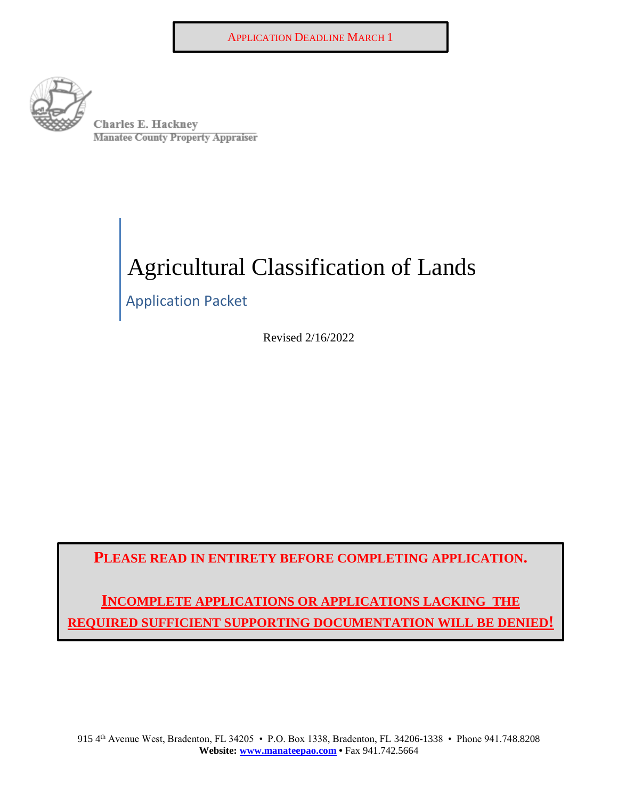

0 <sup>E</sup> Ha.ckney . Charles - erty Appr.user Mana. **--tee=7county Pi-op** 

# Agricultural Classification of Lands

Application Packet

Revised 2/16/2022

**PLEASE READ IN ENTIRETY BEFORE COMPLETING APPLICATION.** 

**INCOMPLETE APPLICATIONS OR APPLICATIONS LACKING THE REQUIRED SUFFICIENT SUPPORTING DOCUMENTATION WILL BE DENIED!**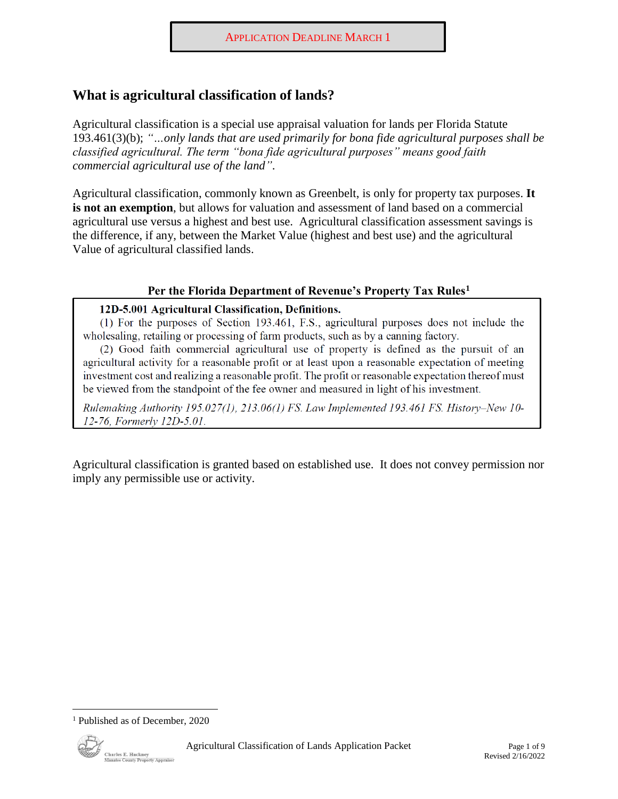## **What is agricultural classification of lands?**

Agricultural classification is a special use appraisal valuation for lands per Florida Statute 193.461(3)(b); *"…only lands that are used primarily for bona fide agricultural purposes shall be classified agricultural. The term "bona fide agricultural purposes" means good faith commercial agricultural use of the land"*.

Agricultural classification, commonly known as Greenbelt, is only for property tax purposes. **It is not an exemption**, but allows for valuation and assessment of land based on a commercial agricultural use versus a highest and best use. Agricultural classification assessment savings is the difference, if any, between the Market Value (highest and best use) and the agricultural Value of agricultural classified lands.

#### **Per the Florida Department of Revenue's Property Tax Rules1**

#### **12D-5.001 Agricultural Classification, Definitions.**

(1) For the purposes of Section 193.461 , F.S., agricultural purposes does not include the wholesaling, retailing or processing of fann products, such as by a canning factory.

(2) Good faith commercial agricultural use of property is defined as the pursuit of an agricultural activity for a reasonable profit or at least upon a reasonable expectation of meeting investment cost and realizing a reasonable profit. The profit or reasonable expectation thereof must be viewed from the standpoint of the fee owner and measured in light of his investment.

*Rulemaking Authority 195.027(1), 213.06(1) FS. Law Implemented 193.461 FS. History- New 10- 12- 76, Formerly 12D-5.01.* 

Agricultural classification is granted based on established use. It does not convey permission nor imply any permissible use or activity.

<sup>&</sup>lt;sup>1</sup> Published as of December, 2020

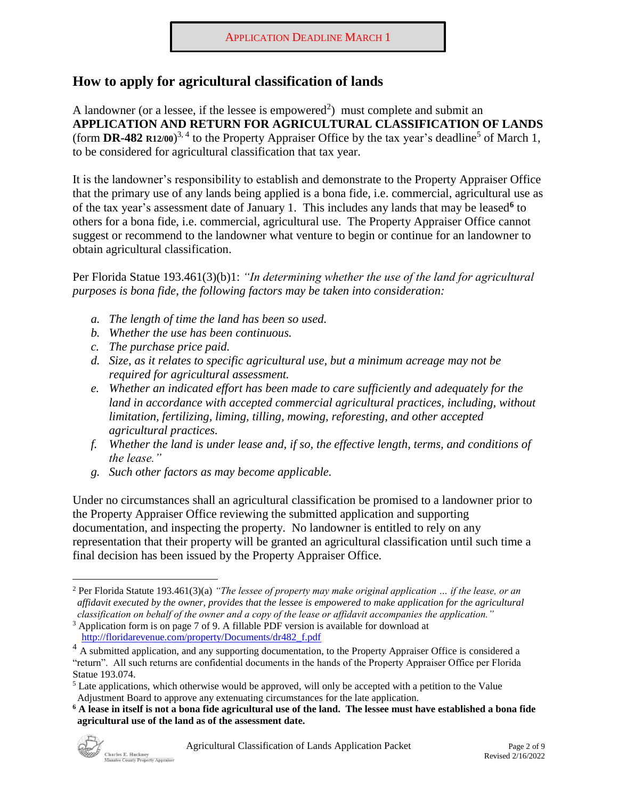## **How to apply for agricultural classification of lands**

A landowner (or a lessee, if the lessee is empowered<sup>2</sup>) must complete and submit an **APPLICATION AND RETURN FOR AGRICULTURAL CLASSIFICATION OF LANDS**  (form **DR-482 R12/00**)<sup>3, 4</sup> to the Property Appraiser Office by the tax year's deadline<sup>5</sup> of March 1, to be considered for agricultural classification that tax year.

It is the landowner's responsibility to establish and demonstrate to the Property Appraiser Office that the primary use of any lands being applied is a bona fide, i.e. commercial, agricultural use as of the tax year's assessment date of January 1. This includes any lands that may be leased**<sup>6</sup>**to others for a bona fide, i.e. commercial, agricultural use. The Property Appraiser Office cannot suggest or recommend to the landowner what venture to begin or continue for an landowner to obtain agricultural classification.

Per Florida Statue 193.461(3)(b)1: *"In determining whether the use of the land for agricultural purposes is bona fide, the following factors may be taken into consideration:* 

- *a. The length of time the land has been so used.*
- *b. Whether the use has been continuous.*
- *c. The purchase price paid.*
- *d. Size, as it relates to specific agricultural use, but a minimum acreage may not be required for agricultural assessment.*
- *e. Whether an indicated effort has been made to care sufficiently and adequately for the*  land in accordance with accepted commercial agricultural practices, including, without *limitation, fertilizing, liming, tilling, mowing, reforesting, and other accepted agricultural practices.*
- *f. Whether the land is under lease and, if so, the effective length, terms, and conditions of the lease."*
- *g. Such other factors as may become applicable.*

Under no circumstances shall an agricultural classification be promised to a landowner prior to the Property Appraiser Office reviewing the submitted application and supporting documentation, and inspecting the property. No landowner is entitled to rely on any representation that their property will be granted an agricultural classification until such time a final decision has been issued by the Property Appraiser Office.

**<sup>6</sup> A lease in itself is not a bona fide agricultural use of the land. The lessee must have established a bona fide agricultural use of the land as of the assessment date.** 



 2 Per Florida Statute 193.461(3)(a) *"The lessee of property may make original application … if the lease, or an classification on behalf of the owner and a copy of the lease or affidavit accompanies the application." affidavit executed by the owner, provides that the lessee is empowered to make application for the agricultural* 

<sup>3</sup> Application form is on page 7 of 9. A fillable PDF version is available for download at [http://floridarevenue.com/property/Documents/dr482\\_f.pdf](http://floridarevenue.com/property/Documents/dr482_f.pdf) 

 "return". All such returns are confidential documents in the hands of the Property Appraiser Office per Florida <sup>4</sup> A submitted application, and any supporting documentation, to the Property Appraiser Office is considered a Statue 193.074.

<sup>&</sup>lt;sup>5</sup> Late applications, which otherwise would be approved, will only be accepted with a petition to the Value Adjustment Board to approve any extenuating circumstances for the late application.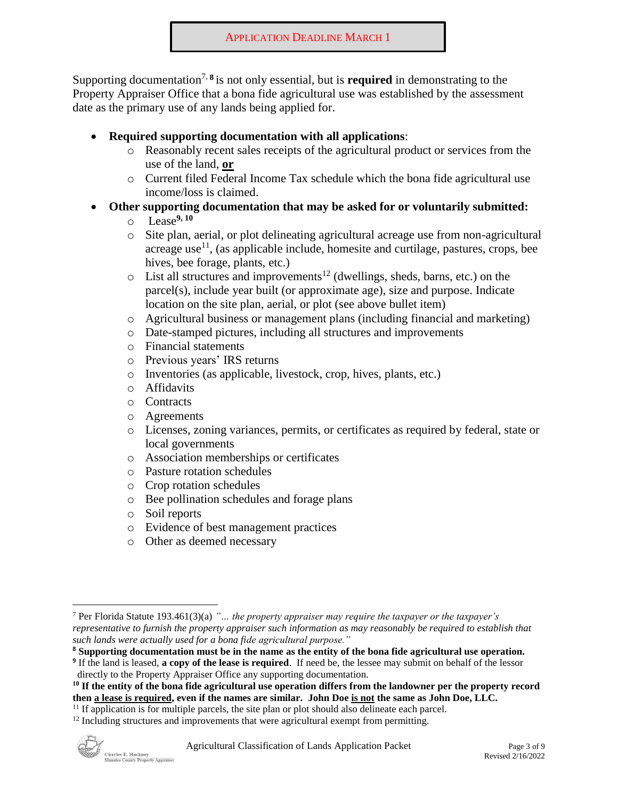Supporting documentation<sup>7, 8</sup> is not only essential, but is **required** in demonstrating to the Property Appraiser Office that a bona fide agricultural use was established by the assessment date as the primary use of any lands being applied for.

- **Required supporting documentation with all applications**:
	- o Reasonably recent sales receipts of the agricultural product or services from the use of the land, **or**
	- o Current filed Federal Income Tax schedule which the bona fide agricultural use income/loss is claimed.
- **Other supporting documentation that may be asked for or voluntarily submitted:** 
	- o Lease**9, 10**
	- o Site plan, aerial, or plot delineating agricultural acreage use from non-agricultural acreage use $<sup>11</sup>$ , (as applicable include, homesite and curtilage, pastures, crops, bee</sup> hives, bee forage, plants, etc.)
	- $\circ$  List all structures and improvements<sup>12</sup> (dwellings, sheds, barns, etc.) on the parcel(s), include year built (or approximate age), size and purpose. Indicate location on the site plan, aerial, or plot (see above bullet item)
	- o Agricultural business or management plans (including financial and marketing)
	- o Date-stamped pictures, including all structures and improvements
	- o Financial statements
	- o Previous years' IRS returns
	- o Inventories (as applicable, livestock, crop, hives, plants, etc.)
	- o Affidavits
	- o Contracts
	- o Agreements
	- o Licenses, zoning variances, permits, or certificates as required by federal, state or local governments
	- o Association memberships or certificates
	- o Pasture rotation schedules
	- o Crop rotation schedules
	- o Bee pollination schedules and forage plans
	- o Soil reports
	- o Evidence of best management practices
	- o Other as deemed necessary



 7 Per Florida Statute 193.461(3)(a) *"… the property appraiser may require the taxpayer or the taxpayer's representative to furnish the property appraiser such information as may reasonably be required to establish that such lands were actually used for a bona fide agricultural purpose."*

**<sup>8</sup> Supporting documentation must be in the name as the entity of the bona fide agricultural use operation.** 

**<sup>9</sup>**If the land is leased, **a copy of the lease is required**. If need be, the lessee may submit on behalf of the lessor directly to the Property Appraiser Office any supporting documentation.

**<sup>10</sup> If the entity of the bona fide agricultural use operation differs from the landowner per the property record then a lease is required, even if the names are similar. John Doe is not the same as John Doe, LLC.** 

<sup>&</sup>lt;sup>11</sup> If application is for multiple parcels, the site plan or plot should also delineate each parcel. <sup>12</sup> Including structures and improvements that were agricultural exempt from permitting.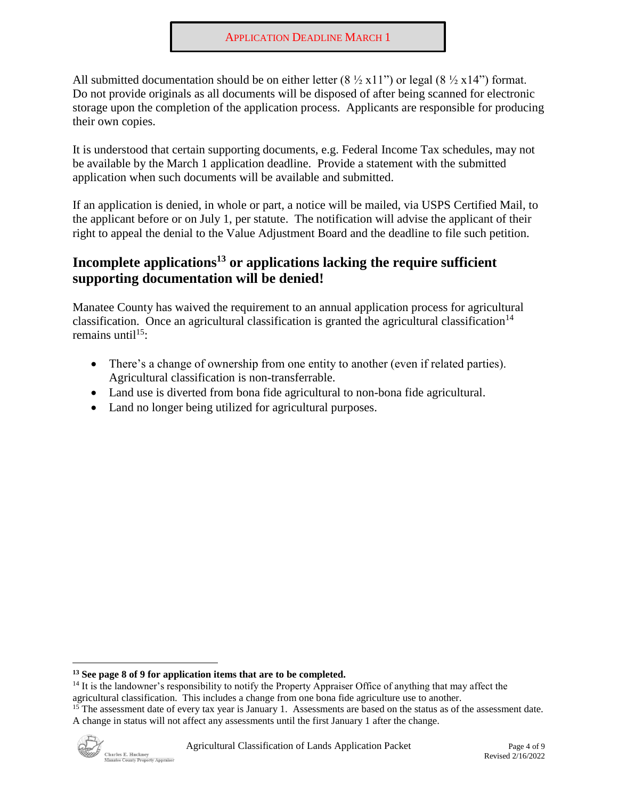All submitted documentation should be on either letter  $(8 \frac{1}{2} \times 11")$  or legal  $(8 \frac{1}{2} \times 14")$  format. Do not provide originals as all documents will be disposed of after being scanned for electronic storage upon the completion of the application process. Applicants are responsible for producing their own copies.

It is understood that certain supporting documents, e.g. Federal Income Tax schedules, may not be available by the March 1 application deadline. Provide a statement with the submitted application when such documents will be available and submitted.

If an application is denied, in whole or part, a notice will be mailed, via USPS Certified Mail, to the applicant before or on July 1, per statute. The notification will advise the applicant of their right to appeal the denial to the Value Adjustment Board and the deadline to file such petition.

## Incomplete applications<sup>13</sup> or applications lacking the require sufficient **supporting documentation will be denied!**

Manatee County has waived the requirement to an annual application process for agricultural classification. Once an agricultural classification is granted the agricultural classification<sup>14</sup> remains until<sup>15</sup>:

- There's a change of ownership from one entity to another (even if related parties). Agricultural classification is non-transferrable.
- Land use is diverted from bona fide agricultural to non-bona fide agricultural.
- Land no longer being utilized for agricultural purposes.

<sup>&</sup>lt;sup>15</sup> The assessment date of every tax year is January 1. Assessments are based on the status as of the assessment date. A change in status will not affect any assessments until the first January 1 after the change.



**<sup>13</sup> See page 8 of 9 for application items that are to be completed.** 

<sup>&</sup>lt;sup>14</sup> It is the landowner's responsibility to notify the Property Appraiser Office of anything that may affect the agricultural classification. This includes a change from one bona fide agriculture use to another.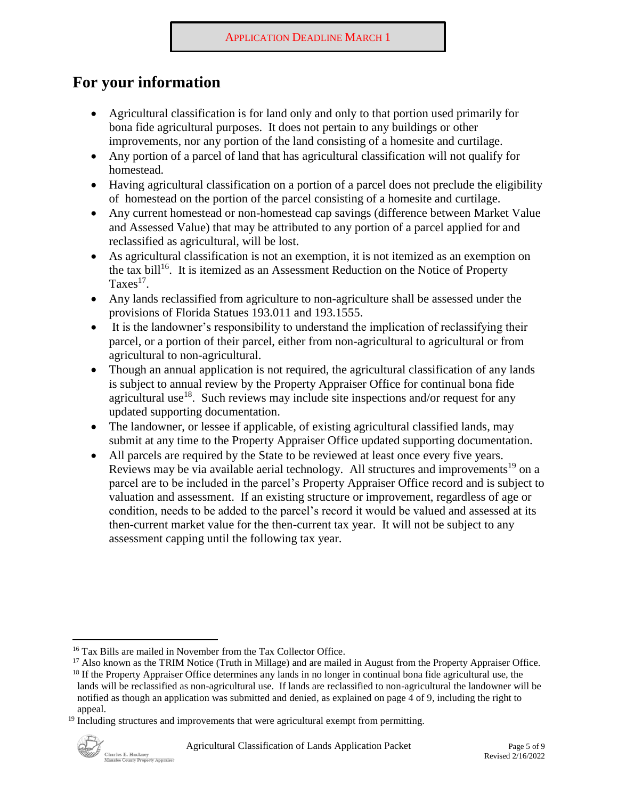# **For your information**

- Agricultural classification is for land only and only to that portion used primarily for bona fide agricultural purposes. It does not pertain to any buildings or other improvements, nor any portion of the land consisting of a homesite and curtilage.
- Any portion of a parcel of land that has agricultural classification will not qualify for homestead.
- Having agricultural classification on a portion of a parcel does not preclude the eligibility of homestead on the portion of the parcel consisting of a homesite and curtilage.
- Any current homestead or non-homestead cap savings (difference between Market Value) and Assessed Value) that may be attributed to any portion of a parcel applied for and reclassified as agricultural, will be lost.
- As agricultural classification is not an exemption, it is not itemized as an exemption on the tax bill<sup>16</sup>. It is itemized as an Assessment Reduction on the Notice of Property Taxes17.
- Any lands reclassified from agriculture to non-agriculture shall be assessed under the provisions of Florida Statues 193.011 and 193.1555.
- It is the landowner's responsibility to understand the implication of reclassifying their parcel, or a portion of their parcel, either from non-agricultural to agricultural or from agricultural to non-agricultural.
- Though an annual application is not required, the agricultural classification of any lands is subject to annual review by the Property Appraiser Office for continual bona fide agricultural use<sup>18</sup>. Such reviews may include site inspections and/or request for any updated supporting documentation.
- The landowner, or lessee if applicable, of existing agricultural classified lands, may submit at any time to the Property Appraiser Office updated supporting documentation.
- All parcels are required by the State to be reviewed at least once every five years. Reviews may be via available aerial technology. All structures and improvements<sup>19</sup> on a parcel are to be included in the parcel's Property Appraiser Office record and is subject to valuation and assessment. If an existing structure or improvement, regardless of age or condition, needs to be added to the parcel's record it would be valued and assessed at its then-current market value for the then-current tax year. It will not be subject to any assessment capping until the following tax year.

<sup>&</sup>lt;sup>16</sup> Tax Bills are mailed in November from the Tax Collector Office.<br><sup>17</sup> Also known as the TRIM Notice (Truth in Millage) and are mailed in August from the Property Appraiser Office.<br><sup>18</sup> If the Property Appraiser Office

lands will be reclassified as non-agricultural use. If lands are reclassified to non-agricultural the landowner will be notified as though an application was submitted and denied, as explained on page 4 of 9, including the right to appeal.

<sup>&</sup>lt;sup>19</sup> Including structures and improvements that were agricultural exempt from permitting.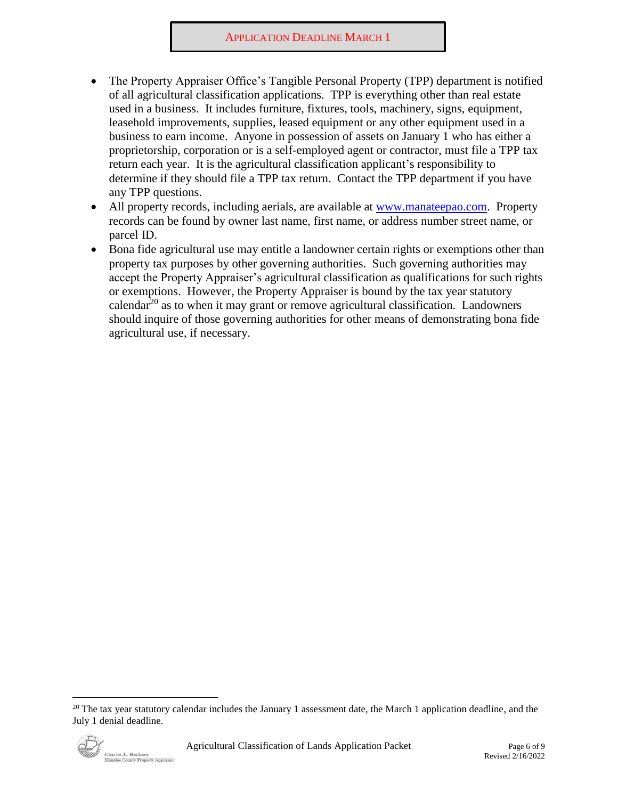- The Property Appraiser Office's Tangible Personal Property (TPP) department is notified of all agricultural classification applications. TPP is everything other than real estate used in a business. It includes furniture, fixtures, tools, machinery, signs, equipment, leasehold improvements, supplies, leased equipment or any other equipment used in a business to earn income. Anyone in possession of assets on January 1 who has either a proprietorship, corporation or is a self-employed agent or contractor, must file a TPP tax return each year. It is the agricultural classification applicant's responsibility to determine if they should file a TPP tax return. Contact the TPP department if you have any TPP questions.
- All property records, including aerials, are available at [www.manateepao.com.](http://www.manateepao.com/) Property records can be found by owner last name, first name, or address number street name, or parcel ID.
- Bona fide agricultural use may entitle a landowner certain rights or exemptions other than property tax purposes by other governing authorities. Such governing authorities may accept the Property Appraiser's agricultural classification as qualifications for such rights or exemptions. However, the Property Appraiser is bound by the tax year statutory calendar<sup>20</sup> as to when it may grant or remove agricultural classification. Landowners should inquire of those governing authorities for other means of demonstrating bona fide agricultural use, if necessary.

 $20$  The tax year statutory calendar includes the January 1 assessment date, the March 1 application deadline, and the July 1 denial deadline.

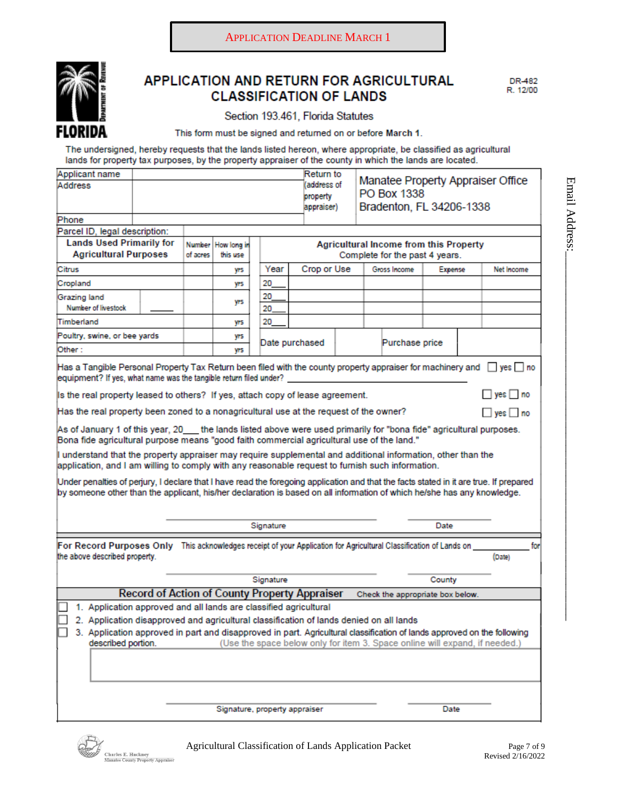

#### APPLICATION AND RETURN FOR AGRICULTURAL **CLASSIFICATION OF LANDS**

Section 193.461, Florida Statutes

This form must be signed and returned on or before March 1.

The undersigned, hereby requests that the lands listed hereon, where appropriate, be classified as agricultural lands for property tax purposes, by the property appraiser of the county in which the lands are located.

| Applicant name<br>Address                                                                                                                                                                                                                                         |           |                                                                     |          |                                     |                                | Return to<br>address of<br>property<br>appraiser) |      |        | PO Box 1338<br>Bradenton, FL 34206-1338 |      |            | Manatee Property Appraiser Office |  |
|-------------------------------------------------------------------------------------------------------------------------------------------------------------------------------------------------------------------------------------------------------------------|-----------|---------------------------------------------------------------------|----------|-------------------------------------|--------------------------------|---------------------------------------------------|------|--------|-----------------------------------------|------|------------|-----------------------------------|--|
| Phone                                                                                                                                                                                                                                                             |           |                                                                     |          |                                     |                                |                                                   |      |        |                                         |      |            |                                   |  |
| Parcel ID, legal description:                                                                                                                                                                                                                                     |           |                                                                     |          |                                     |                                |                                                   |      |        |                                         |      |            |                                   |  |
| <b>Lands Used Primarily for</b>                                                                                                                                                                                                                                   |           | <b>Agricultural Income from this Property</b><br>Number How long in |          |                                     |                                |                                                   |      |        |                                         |      |            |                                   |  |
| <b>Agricultural Purposes</b>                                                                                                                                                                                                                                      |           | of acres                                                            | this use |                                     | Complete for the past 4 years. |                                                   |      |        |                                         |      |            |                                   |  |
| Citrus                                                                                                                                                                                                                                                            |           | yrs                                                                 |          | Year<br>Crop or Use<br>Gross Income |                                |                                                   |      |        | Expense                                 |      | Net Income |                                   |  |
| Cropland                                                                                                                                                                                                                                                          |           |                                                                     | yrs      |                                     | 20                             |                                                   |      |        |                                         |      |            |                                   |  |
| Grazing land<br>Number of livestock                                                                                                                                                                                                                               |           |                                                                     | yrs      |                                     | 20<br>20                       |                                                   |      |        |                                         |      |            |                                   |  |
| Timberland                                                                                                                                                                                                                                                        |           |                                                                     | yrs      |                                     | 20                             |                                                   |      |        |                                         |      |            |                                   |  |
| Poultry, swine, or bee yards                                                                                                                                                                                                                                      |           |                                                                     | yrs      |                                     |                                |                                                   |      |        |                                         |      |            |                                   |  |
| Other :                                                                                                                                                                                                                                                           |           | yrs                                                                 |          | Date purchased<br>Purchase price    |                                |                                                   |      |        |                                         |      |            |                                   |  |
| Has a Tangible Personal Property Tax Return been filed with the county property appraiser for machinery and $\Box$ yes $\Box$ no<br>equipment? If yes, what name was the tangible return filed under?                                                             |           |                                                                     |          |                                     |                                |                                                   |      |        |                                         |      |            |                                   |  |
| $\Box$ yes $\Box$ no<br>Is the real property leased to others? If yes, attach copy of lease agreement.                                                                                                                                                            |           |                                                                     |          |                                     |                                |                                                   |      |        |                                         |      |            |                                   |  |
| Has the real property been zoned to a nonagricultural use at the request of the owner?                                                                                                                                                                            |           |                                                                     |          |                                     |                                |                                                   |      |        |                                         |      |            | $\Box$ yes $\Box$ no              |  |
| As of January 1 of this year, 20___the lands listed above were used primarily for "bona fide" agricultural purposes.<br>Bona fide agricultural purpose means "good faith commercial agricultural use of the land."                                                |           |                                                                     |          |                                     |                                |                                                   |      |        |                                         |      |            |                                   |  |
| I understand that the property appraiser may require supplemental and additional information, other than the<br>application, and I am willing to comply with any reasonable request to furnish such information.                                                  |           |                                                                     |          |                                     |                                |                                                   |      |        |                                         |      |            |                                   |  |
| Under penalties of perjury, I declare that I have read the foregoing application and that the facts stated in it are true. If prepared<br>by someone other than the applicant, his/her declaration is based on all information of which he/she has any knowledge. |           |                                                                     |          |                                     |                                |                                                   |      |        |                                         |      |            |                                   |  |
|                                                                                                                                                                                                                                                                   | Signature |                                                                     |          |                                     |                                |                                                   | Date |        |                                         |      |            |                                   |  |
| For Record Purposes Only This acknowledges receipt of your Application for Agricultural Classification of Lands on<br>the above described property.                                                                                                               |           |                                                                     |          |                                     |                                |                                                   |      |        |                                         |      |            | for<br>(Date)                     |  |
|                                                                                                                                                                                                                                                                   |           |                                                                     |          |                                     |                                |                                                   |      |        |                                         |      |            |                                   |  |
|                                                                                                                                                                                                                                                                   |           | Signature                                                           |          |                                     |                                |                                                   |      | County |                                         |      |            |                                   |  |
| Record of Action of County Property Appraiser<br>Check the appropriate box below.                                                                                                                                                                                 |           |                                                                     |          |                                     |                                |                                                   |      |        |                                         |      |            |                                   |  |
| 1. Application approved and all lands are classified agricultural                                                                                                                                                                                                 |           |                                                                     |          |                                     |                                |                                                   |      |        |                                         |      |            |                                   |  |
| 2. Application disapproved and agricultural classification of lands denied on all lands                                                                                                                                                                           |           |                                                                     |          |                                     |                                |                                                   |      |        |                                         |      |            |                                   |  |
| 3. Application approved in part and disapproved in part. Agricultural classification of lands approved on the following                                                                                                                                           |           |                                                                     |          |                                     |                                |                                                   |      |        |                                         |      |            |                                   |  |
| described portion.<br>(Use the space below only for item 3. Space online will expand, if needed.)                                                                                                                                                                 |           |                                                                     |          |                                     |                                |                                                   |      |        |                                         |      |            |                                   |  |
|                                                                                                                                                                                                                                                                   |           |                                                                     |          |                                     |                                |                                                   |      |        |                                         |      |            |                                   |  |
|                                                                                                                                                                                                                                                                   |           |                                                                     |          |                                     |                                |                                                   |      |        |                                         |      |            |                                   |  |
|                                                                                                                                                                                                                                                                   |           |                                                                     |          |                                     |                                | Signature, property appraiser                     |      |        |                                         | Date |            |                                   |  |

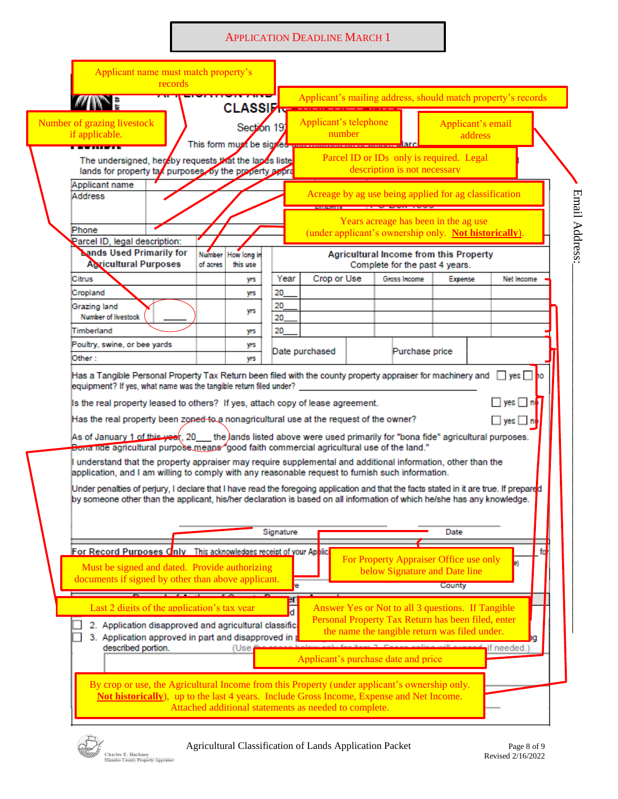#### **APPLICATION DEADLINE MARCH 1**

|                                                                                                                                                                                                                                                                                                                                                                                                                                                                                                                                                                                                                                                                                                                                                                                                  | Applicant name must match property's<br>records |                                                                                                                                                                                                                                                            |           |                                 |                                                                                                                                                                                                                                              |                              |                                                              |
|--------------------------------------------------------------------------------------------------------------------------------------------------------------------------------------------------------------------------------------------------------------------------------------------------------------------------------------------------------------------------------------------------------------------------------------------------------------------------------------------------------------------------------------------------------------------------------------------------------------------------------------------------------------------------------------------------------------------------------------------------------------------------------------------------|-------------------------------------------------|------------------------------------------------------------------------------------------------------------------------------------------------------------------------------------------------------------------------------------------------------------|-----------|---------------------------------|----------------------------------------------------------------------------------------------------------------------------------------------------------------------------------------------------------------------------------------------|------------------------------|--------------------------------------------------------------|
| W E                                                                                                                                                                                                                                                                                                                                                                                                                                                                                                                                                                                                                                                                                                                                                                                              |                                                 |                                                                                                                                                                                                                                                            |           | CLASSI <del>DI CARRICARDO</del> |                                                                                                                                                                                                                                              |                              | Applicant's mailing address, should match property's records |
| Number of grazing livestock<br>if applicable.                                                                                                                                                                                                                                                                                                                                                                                                                                                                                                                                                                                                                                                                                                                                                    |                                                 | Section 19<br>This form must be signed                                                                                                                                                                                                                     |           | Applicant's telephone<br>number |                                                                                                                                                                                                                                              | Applicant's email<br>address |                                                              |
| The undersigned, hereby requests that the lands liste<br>lands for property tax purposes, by the property appra                                                                                                                                                                                                                                                                                                                                                                                                                                                                                                                                                                                                                                                                                  |                                                 |                                                                                                                                                                                                                                                            |           |                                 | Parcel ID or IDs only is required. Legal<br>description is not necessary                                                                                                                                                                     |                              |                                                              |
| Applicant name<br>Address                                                                                                                                                                                                                                                                                                                                                                                                                                                                                                                                                                                                                                                                                                                                                                        |                                                 |                                                                                                                                                                                                                                                            |           |                                 | Acreage by ag use being applied for ag classification                                                                                                                                                                                        |                              |                                                              |
| Phone<br>Parcel ID, legal description:                                                                                                                                                                                                                                                                                                                                                                                                                                                                                                                                                                                                                                                                                                                                                           |                                                 |                                                                                                                                                                                                                                                            |           |                                 | Years acreage has been in the ag use<br>(under applicant's ownership only. Not historically).                                                                                                                                                |                              |                                                              |
| <b>Nands Used Primarily for</b><br><b>Agricultural Purposes</b>                                                                                                                                                                                                                                                                                                                                                                                                                                                                                                                                                                                                                                                                                                                                  |                                                 | <b>Number</b><br>How long in<br>of acres<br>this use                                                                                                                                                                                                       |           |                                 | <b>Agricultural Income from this Property</b><br>Complete for the past 4 years.                                                                                                                                                              |                              |                                                              |
| Citrus                                                                                                                                                                                                                                                                                                                                                                                                                                                                                                                                                                                                                                                                                                                                                                                           |                                                 | yrs                                                                                                                                                                                                                                                        | Year      | Crop or Use                     | Gross Income                                                                                                                                                                                                                                 | Expense                      | Net Income                                                   |
| Cropland                                                                                                                                                                                                                                                                                                                                                                                                                                                                                                                                                                                                                                                                                                                                                                                         |                                                 | yrs                                                                                                                                                                                                                                                        | 20        |                                 |                                                                                                                                                                                                                                              |                              |                                                              |
| Grazing land                                                                                                                                                                                                                                                                                                                                                                                                                                                                                                                                                                                                                                                                                                                                                                                     |                                                 | yrs                                                                                                                                                                                                                                                        | 20        |                                 |                                                                                                                                                                                                                                              |                              |                                                              |
| Number of livestock                                                                                                                                                                                                                                                                                                                                                                                                                                                                                                                                                                                                                                                                                                                                                                              |                                                 |                                                                                                                                                                                                                                                            | 20        |                                 |                                                                                                                                                                                                                                              |                              |                                                              |
| Timberland                                                                                                                                                                                                                                                                                                                                                                                                                                                                                                                                                                                                                                                                                                                                                                                       |                                                 | yrs                                                                                                                                                                                                                                                        | 20        |                                 |                                                                                                                                                                                                                                              |                              |                                                              |
| Poultry, swine, or bee yards                                                                                                                                                                                                                                                                                                                                                                                                                                                                                                                                                                                                                                                                                                                                                                     |                                                 | yrs                                                                                                                                                                                                                                                        |           | Date purchased                  | Purchase price                                                                                                                                                                                                                               |                              |                                                              |
| Other :                                                                                                                                                                                                                                                                                                                                                                                                                                                                                                                                                                                                                                                                                                                                                                                          |                                                 | yrs                                                                                                                                                                                                                                                        |           |                                 |                                                                                                                                                                                                                                              |                              |                                                              |
| Has the real property been zoned to a nonagricultural use at the request of the owner?<br>As of January 1 of this year, 20 the lands listed above were used primarily for "bona fide" agricultural purposes.<br>Bona nde agricultural purpose means "good faith commercial agricultural use of the land."<br>understand that the property appraiser may require supplemental and additional information, other than the<br>application, and I am willing to comply with any reasonable request to furnish such information.<br>Under penalties of perjury, I declare that I have read the foregoing application and that the facts stated in it are true. If prepared<br>by someone other than the applicant, his/her declaration is based on all information of which he/she has any knowledge. |                                                 |                                                                                                                                                                                                                                                            |           |                                 |                                                                                                                                                                                                                                              |                              | $\Box$ yes $\Box$ no                                         |
|                                                                                                                                                                                                                                                                                                                                                                                                                                                                                                                                                                                                                                                                                                                                                                                                  |                                                 |                                                                                                                                                                                                                                                            | Signature |                                 |                                                                                                                                                                                                                                              | Date                         |                                                              |
| For Record Purposes Cnly This acknowledges receipt of your Applic                                                                                                                                                                                                                                                                                                                                                                                                                                                                                                                                                                                                                                                                                                                                |                                                 |                                                                                                                                                                                                                                                            |           |                                 |                                                                                                                                                                                                                                              |                              | fo                                                           |
| Must be signed and dated. Provide authorizing<br>documents if signed by other than above applicant.                                                                                                                                                                                                                                                                                                                                                                                                                                                                                                                                                                                                                                                                                              |                                                 |                                                                                                                                                                                                                                                            |           |                                 | For Property Appraiser Office use only<br>below Signature and Date line                                                                                                                                                                      | <b>County</b>                | Ð                                                            |
| Last 2 digits of the application's tax year<br>described portion.                                                                                                                                                                                                                                                                                                                                                                                                                                                                                                                                                                                                                                                                                                                                |                                                 | 2. Application disapproved and agricultural classific<br>3. Application approved in part and disapproved in<br>(Use                                                                                                                                        | er<br>ď   |                                 | Answer Yes or Not to all 3 questions. If Tangible<br>Personal Property Tax Return has been filed, enter<br>the name the tangible return was filed under.<br>value for itom 2. Connor online will over<br>Applicant's purchase date and price |                              | if needed.                                                   |
|                                                                                                                                                                                                                                                                                                                                                                                                                                                                                                                                                                                                                                                                                                                                                                                                  |                                                 | By crop or use, the Agricultural Income from this Property (under applicant's ownership only.<br><b>Not historically</b> ), up to the last 4 years. Include Gross Income, Expense and Net Income.<br>Attached additional statements as needed to complete. |           |                                 |                                                                                                                                                                                                                                              |                              |                                                              |